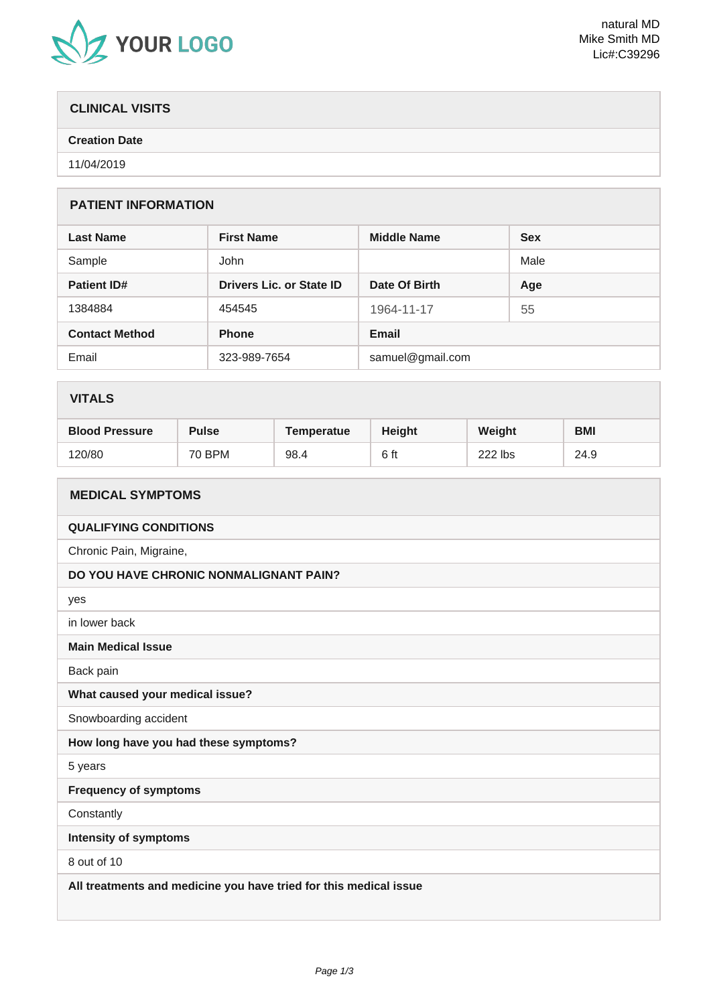

# **CLINICAL VISITS**

### **Creation Date**

11/04/2019

# **PATIENT INFORMATION**

| <b>Last Name</b>      | <b>First Name</b>        | <b>Middle Name</b> | <b>Sex</b> |
|-----------------------|--------------------------|--------------------|------------|
| Sample                | John                     |                    | Male       |
| <b>Patient ID#</b>    | Drivers Lic. or State ID | Date Of Birth      | Age        |
| 1384884               | 454545                   | 1964-11-17         | 55         |
| <b>Contact Method</b> | <b>Phone</b>             | <b>Email</b>       |            |
| Email                 | 323-989-7654             | samuel@gmail.com   |            |

# **VITALS**

| <b>Blood Pressure</b> | <b>Pulse</b> | Temperatue | <b>Height</b> | Weight  | <b>BMI</b> |
|-----------------------|--------------|------------|---------------|---------|------------|
| 120/80                | 70 BPM       | 98.4       | 6 ft          | 222 lbs | 24.9       |

| <b>MEDICAL SYMPTOMS</b>                                           |  |  |
|-------------------------------------------------------------------|--|--|
| <b>QUALIFYING CONDITIONS</b>                                      |  |  |
| Chronic Pain, Migraine,                                           |  |  |
| DO YOU HAVE CHRONIC NONMALIGNANT PAIN?                            |  |  |
| yes                                                               |  |  |
| in lower back                                                     |  |  |
| <b>Main Medical Issue</b>                                         |  |  |
| Back pain                                                         |  |  |
| What caused your medical issue?                                   |  |  |
| Snowboarding accident                                             |  |  |
| How long have you had these symptoms?                             |  |  |
| 5 years                                                           |  |  |
| <b>Frequency of symptoms</b>                                      |  |  |
| Constantly                                                        |  |  |
| <b>Intensity of symptoms</b>                                      |  |  |
| 8 out of 10                                                       |  |  |
| All treatments and medicine you have tried for this medical issue |  |  |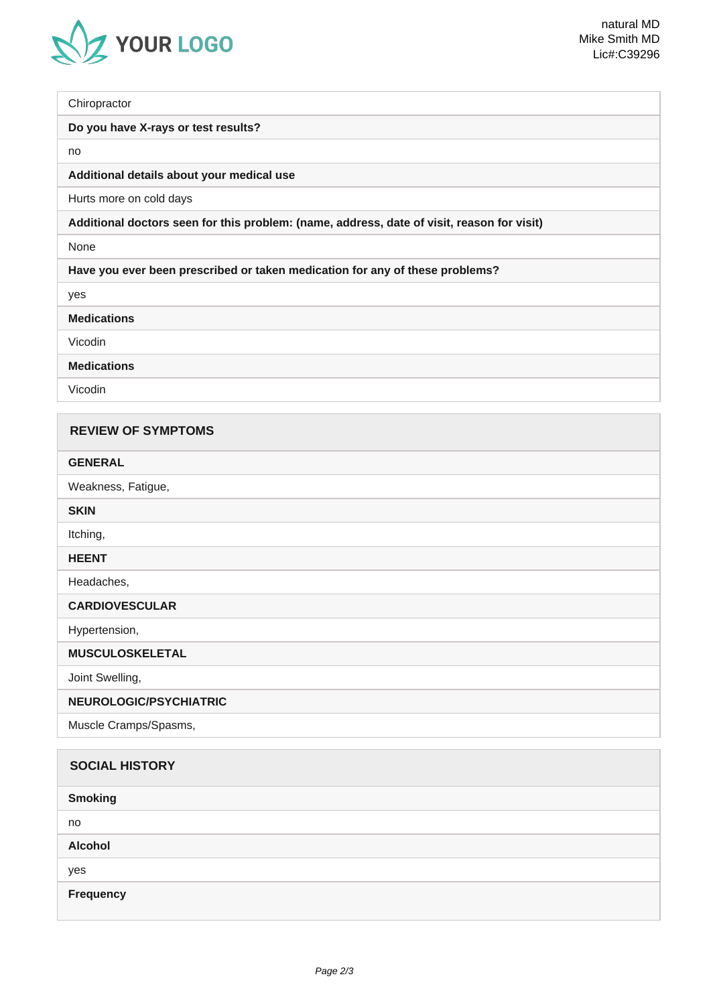

**Chiropractor** 

#### **Do you have X-rays or test results?**

no

#### **Additional details about your medical use**

Hurts more on cold days

#### **Additional doctors seen for this problem: (name, address, date of visit, reason for visit)**

None

**Have you ever been prescribed or taken medication for any of these problems?**

yes

**Medications**

Vicodin

**Medications**

Vicodin

| <b>REVIEW OF SYMPTOMS</b> |
|---------------------------|
| <b>GENERAL</b>            |
| Weakness, Fatigue,        |
| <b>SKIN</b>               |
| Itching,                  |
| <b>HEENT</b>              |
| Headaches,                |
| <b>CARDIOVESCULAR</b>     |
| Hypertension,             |
| <b>MUSCULOSKELETAL</b>    |
| Joint Swelling,           |
| NEUROLOGIC/PSYCHIATRIC    |
| Muscle Cramps/Spasms,     |
|                           |
| <b>SOCIAL HISTORY</b>     |
| <b>Smoking</b>            |

no

**Alcohol**

yes

**Frequency**